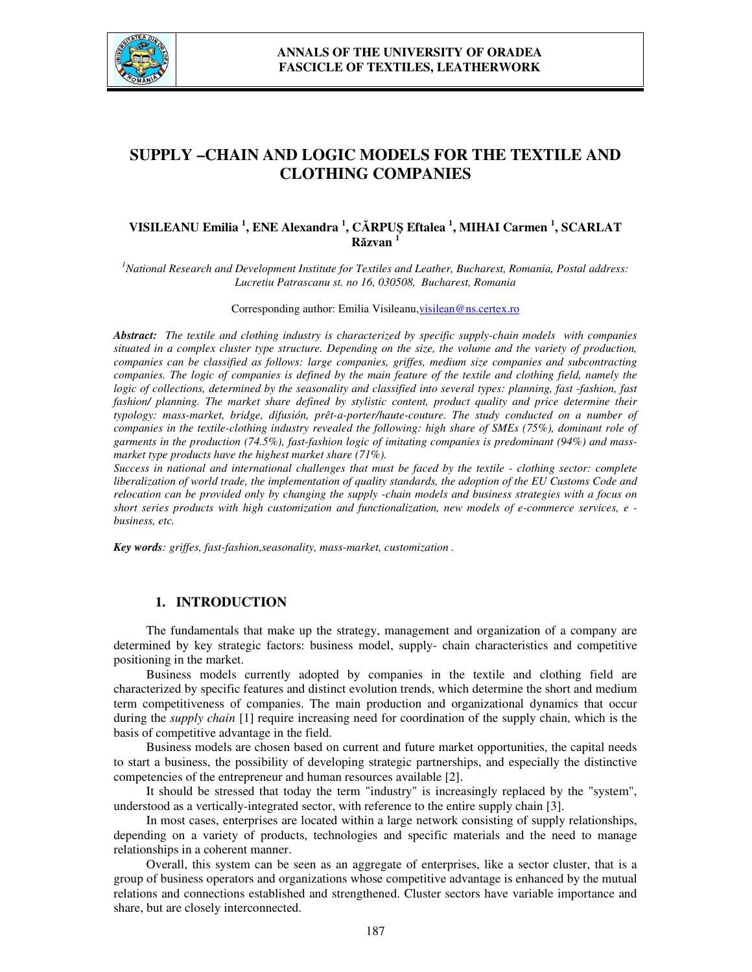

# **SUPPLY –CHAIN AND LOGIC MODELS FOR THE TEXTILE AND CLOTHING COMPANIES**

# **VISILEANU Emilia <sup>1</sup> , ENE Alexandra <sup>1</sup> , CĂRPUŞ Eftalea <sup>1</sup> , MIHAI Carmen <sup>1</sup> , SCARLAT Răzvan <sup>1</sup>**

*<sup>1</sup>National Research and Development Institute for Textiles and Leather, Bucharest, Romania, Postal address: Lucretiu Patrascanu st. no 16, 030508, Bucharest, Romania* 

Corresponding author: Emilia Visileanu, visilean@ns.certex.ro

*Abstract: The textile and clothing industry is characterized by specific supply-chain models with companies situated in a complex cluster type structure. Depending on the size, the volume and the variety of production, companies can be classified as follows: large companies, griffes, medium size companies and subcontracting companies. The logic of companies is defined by the main feature of the textile and clothing field, namely the logic of collections, determined by the seasonality and classified into several types: planning, fast -fashion, fast fashion/ planning. The market share defined by stylistic content, product quality and price determine their typology: mass-market, bridge, difusión, prêt-a-porter/haute-couture. The study conducted on a number of companies in the textile-clothing industry revealed the following: high share of SMEs (75%), dominant role of garments in the production (74.5%), fast-fashion logic of imitating companies is predominant (94%) and massmarket type products have the highest market share (71%).* 

*Success in national and international challenges that must be faced by the textile - clothing sector: complete liberalization of world trade, the implementation of quality standards, the adoption of the EU Customs Code and relocation can be provided only by changing the supply -chain models and business strategies with a focus on short series products with high customization and functionalization, new models of e-commerce services, e business, etc.* 

*Key words: griffes, fast-fashion,seasonality, mass-market, customization .* 

## **1. INTRODUCTION**

The fundamentals that make up the strategy, management and organization of a company are determined by key strategic factors: business model, supply- chain characteristics and competitive positioning in the market.

Business models currently adopted by companies in the textile and clothing field are characterized by specific features and distinct evolution trends, which determine the short and medium term competitiveness of companies. The main production and organizational dynamics that occur during the *supply chain* [1] require increasing need for coordination of the supply chain, which is the basis of competitive advantage in the field.

Business models are chosen based on current and future market opportunities, the capital needs to start a business, the possibility of developing strategic partnerships, and especially the distinctive competencies of the entrepreneur and human resources available [2].

It should be stressed that today the term "industry" is increasingly replaced by the "system", understood as a vertically-integrated sector, with reference to the entire supply chain [3].

In most cases, enterprises are located within a large network consisting of supply relationships, depending on a variety of products, technologies and specific materials and the need to manage relationships in a coherent manner.

Overall, this system can be seen as an aggregate of enterprises, like a sector cluster, that is a group of business operators and organizations whose competitive advantage is enhanced by the mutual relations and connections established and strengthened. Cluster sectors have variable importance and share, but are closely interconnected.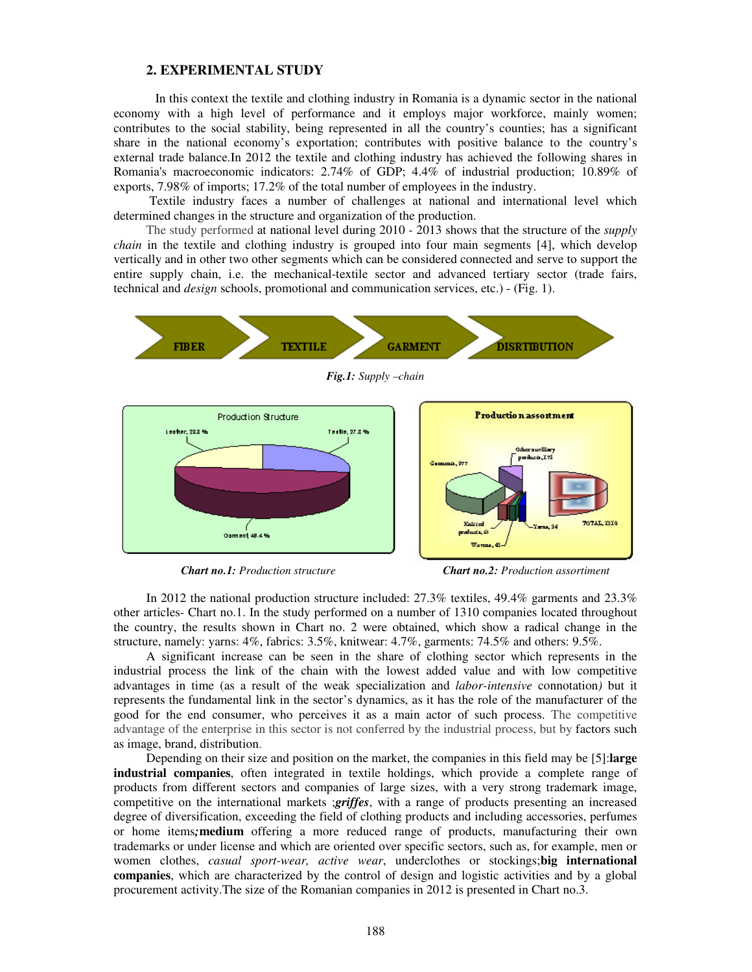#### **2. EXPERIMENTAL STUDY**

 In this context the textile and clothing industry in Romania is a dynamic sector in the national economy with a high level of performance and it employs major workforce, mainly women; contributes to the social stability, being represented in all the country's counties; has a significant share in the national economy's exportation; contributes with positive balance to the country's external trade balance.In 2012 the textile and clothing industry has achieved the following shares in Romania's macroeconomic indicators: 2.74% of GDP; 4.4% of industrial production; 10.89% of exports, 7.98% of imports; 17.2% of the total number of employees in the industry.

 Textile industry faces a number of challenges at national and international level which determined changes in the structure and organization of the production.

The study performed at national level during 2010 - 2013 shows that the structure of the *supply chain* in the textile and clothing industry is grouped into four main segments [4], which develop vertically and in other two other segments which can be considered connected and serve to support the entire supply chain, i.e. the mechanical-textile sector and advanced tertiary sector (trade fairs, technical and *design* schools, promotional and communication services, etc.) - (Fig. 1).



*Chart no.1: Production structure Chart no.2: Production assortiment* 

In 2012 the national production structure included: 27.3% textiles, 49.4% garments and 23.3% other articles- Chart no.1. In the study performed on a number of 1310 companies located throughout the country, the results shown in Chart no. 2 were obtained, which show a radical change in the structure, namely: yarns: 4%, fabrics: 3.5%, knitwear: 4.7%, garments: 74.5% and others: 9.5%.

A significant increase can be seen in the share of clothing sector which represents in the industrial process the link of the chain with the lowest added value and with low competitive advantages in time (as a result of the weak specialization and *labor-intensive* connotation*)* but it represents the fundamental link in the sector's dynamics, as it has the role of the manufacturer of the good for the end consumer, who perceives it as a main actor of such process. The competitive advantage of the enterprise in this sector is not conferred by the industrial process, but by factors such as image, brand, distribution.

Depending on their size and position on the market, the companies in this field may be [5]:**large industrial companies**, often integrated in textile holdings, which provide a complete range of products from different sectors and companies of large sizes, with a very strong trademark image, competitive on the international markets ;*griffes*, with a range of products presenting an increased degree of diversification, exceeding the field of clothing products and including accessories, perfumes or home items*;***medium** offering a more reduced range of products, manufacturing their own trademarks or under license and which are oriented over specific sectors, such as, for example, men or women clothes, *casual sport-wear, active wear*, underclothes or stockings;**big international companies**, which are characterized by the control of design and logistic activities and by a global procurement activity.The size of the Romanian companies in 2012 is presented in Chart no.3.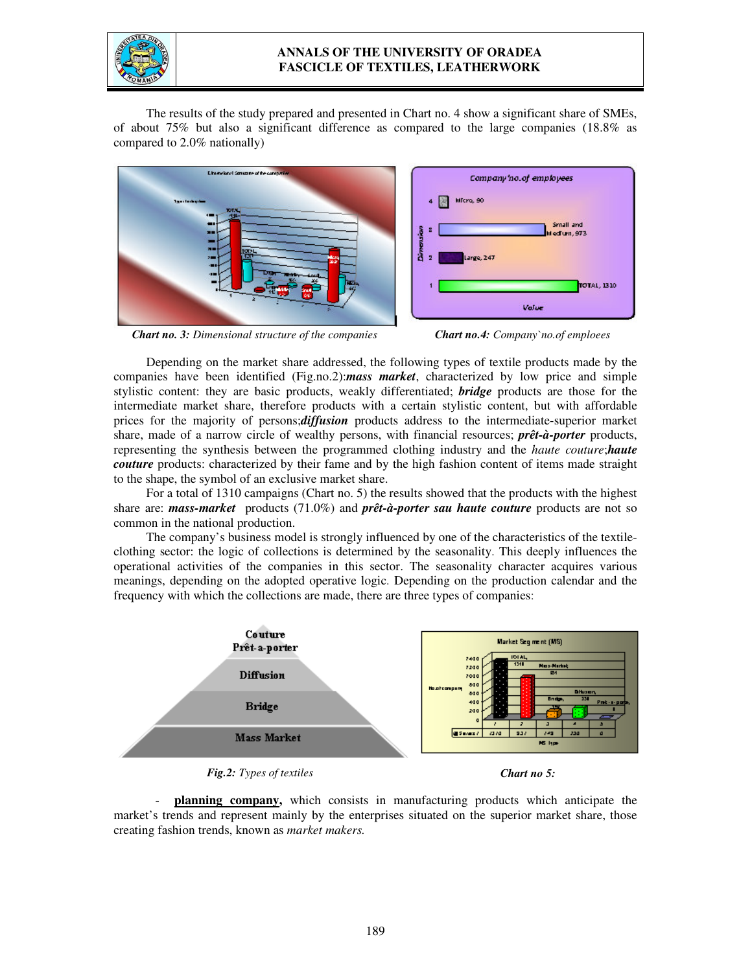

## **ANNALS OF THE UNIVERSITY OF ORADEA FASCICLE OF TEXTILES, LEATHERWORK**

The results of the study prepared and presented in Chart no. 4 show a significant share of SMEs, of about 75% but also a significant difference as compared to the large companies (18.8% as compared to 2.0% nationally)



*Chart no. 3: Dimensional structure of the companies Chart no.4: Company`no.of emploees*



Depending on the market share addressed, the following types of textile products made by the companies have been identified (Fig.no.2):*mass market*, characterized by low price and simple stylistic content: they are basic products, weakly differentiated; *bridge* products are those for the intermediate market share, therefore products with a certain stylistic content, but with affordable prices for the majority of persons;*diffusion* products address to the intermediate-superior market share, made of a narrow circle of wealthy persons, with financial resources; *prêt-à-porter* products, representing the synthesis between the programmed clothing industry and the *haute couture*;*haute couture* products: characterized by their fame and by the high fashion content of items made straight to the shape, the symbol of an exclusive market share.

For a total of 1310 campaigns (Chart no. 5) the results showed that the products with the highest share are: *mass-market* products (71.0%) and *prêt-à-porter sau haute couture* products are not so common in the national production.

The company's business model is strongly influenced by one of the characteristics of the textileclothing sector: the logic of collections is determined by the seasonality. This deeply influences the operational activities of the companies in this sector. The seasonality character acquires various meanings, depending on the adopted operative logic. Depending on the production calendar and the frequency with which the collections are made, there are three types of companies:



*Fig.2: Types of textiles Chart no 5:*

 - **planning company,** which consists in manufacturing products which anticipate the market's trends and represent mainly by the enterprises situated on the superior market share, those creating fashion trends, known as *market makers.*